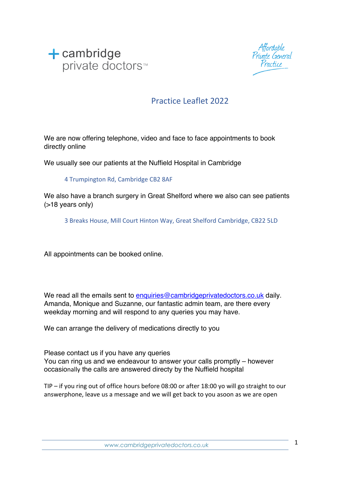



#### Practice Leaflet 2022

We are now offering telephone, video and face to face appointments to book directly online

We usually see our patients at the Nuffield Hospital in Cambridge

4 Trumpington Rd, Cambridge CB2 8AF

We also have a branch surgery in Great Shelford where we also can see patients (>18 years only)

3 Breaks House, Mill Court Hinton Way, Great Shelford Cambridge, CB22 5LD

All appointments can be booked online.

We read all the emails sent to enquiries@cambridgeprivatedoctors.co.uk daily. Amanda, Monique and Suzanne, our fantastic admin team, are there every weekday morning and will respond to any queries you may have.

We can arrange the delivery of medications directly to you

Please contact us if you have any queries You can ring us and we endeavour to answer your calls promptly – however occasionally the calls are answered directy by the Nuffield hospital

TIP – if you ring out of office hours before 08:00 or after 18:00 yo will go straight to our answerphone, leave us a message and we will get back to you asoon as we are open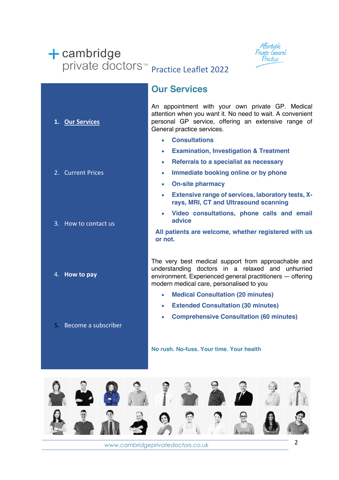## $+$  cambridge private doctors<sup>™</sup> Practice Leaflet 2022



|                        | <b>Our Services</b>                                                                                                                                                                                              |
|------------------------|------------------------------------------------------------------------------------------------------------------------------------------------------------------------------------------------------------------|
| 1. Our Services        | An appointment with your own private GP. Medical<br>attention when you want it. No need to wait. A convenient<br>personal GP service, offering an extensive range of<br>General practice services.               |
|                        | <b>Consultations</b>                                                                                                                                                                                             |
|                        | <b>Examination, Investigation &amp; Treatment</b><br>$\bullet$                                                                                                                                                   |
|                        | Referrals to a specialist as necessary<br>$\bullet$                                                                                                                                                              |
| 2. Current Prices      | Immediate booking online or by phone<br>۰                                                                                                                                                                        |
|                        | <b>On-site pharmacy</b><br>$\bullet$                                                                                                                                                                             |
|                        | <b>Extensive range of services, laboratory tests, X-</b><br>$\bullet$<br>rays, MRI, CT and Ultrasound scanning                                                                                                   |
| 3. How to contact us   | Video consultations, phone calls and email<br>advice                                                                                                                                                             |
|                        | All patients are welcome, whether registered with us<br>or not.                                                                                                                                                  |
|                        |                                                                                                                                                                                                                  |
| 4. How to pay          | The very best medical support from approachable and<br>understanding doctors in a relaxed and unhurried<br>environment. Experienced general practitioners - offering<br>modern medical care, personalised to you |
|                        | <b>Medical Consultation (20 minutes)</b><br>$\bullet$                                                                                                                                                            |
|                        | <b>Extended Consultation (30 minutes)</b><br>$\bullet$                                                                                                                                                           |
|                        | <b>Comprehensive Consultation (60 minutes)</b><br>$\bullet$                                                                                                                                                      |
| 5. Become a subscriber |                                                                                                                                                                                                                  |

**No rush. No-fuss. Your time. Your health**



*www.cambridgeprivatedoctors.co.uk* 2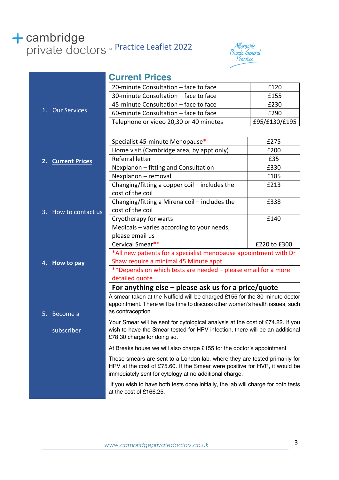# **+ cambridge**<br>private doctors<sup>™</sup> Practice Leaflet 2022



|                      | <b>Current Prices</b>                                                                                                                                    |               |
|----------------------|----------------------------------------------------------------------------------------------------------------------------------------------------------|---------------|
|                      | 20-minute Consultation - face to face                                                                                                                    | £120          |
|                      | 30-minute Consultation - face to face                                                                                                                    | £155          |
|                      | 45-minute Consultation - face to face                                                                                                                    | £230          |
| 1. Our Services      | 60-minute Consultation - face to face                                                                                                                    | £290          |
|                      | Telephone or video 20,30 or 40 minutes                                                                                                                   | £95/£130/£195 |
|                      |                                                                                                                                                          |               |
|                      | Specialist 45-minute Menopause*                                                                                                                          | £275          |
|                      | Home visit (Cambridge area, by appt only)                                                                                                                | £200          |
| 2. Current Prices    | Referral letter                                                                                                                                          | £35           |
|                      | Nexplanon - fitting and Consultation                                                                                                                     | £330          |
|                      | Nexplanon - removal                                                                                                                                      | £185          |
|                      | Changing/fitting a copper coil - includes the                                                                                                            | £213          |
|                      | cost of the coil                                                                                                                                         |               |
|                      | Changing/fitting a Mirena coil - includes the                                                                                                            | £338          |
| 3. How to contact us | cost of the coil                                                                                                                                         |               |
|                      | Cryotherapy for warts                                                                                                                                    | £140          |
|                      | Medicals - varies according to your needs,                                                                                                               |               |
|                      | please email us                                                                                                                                          |               |
|                      | Cervical Smear**                                                                                                                                         | £220 to £300  |
|                      | *All new patients for a specialist menopause appointment with Dr                                                                                         |               |
| 4. How to pay        | Shaw require a minimal 45 Minute appt<br>**Depends on which tests are needed - please email for a more<br>detailed quote                                 |               |
|                      |                                                                                                                                                          |               |
|                      |                                                                                                                                                          |               |
|                      | For anything else $-$ please ask us for a price/quote<br>A smear taken at the Nuffield will be charged £155 for the 30-minute doctor                     |               |
|                      | appointment. There will be time to discuss other women's health issues, such                                                                             |               |
| 5.<br>Become a       | as contraception.                                                                                                                                        |               |
|                      | Your Smear will be sent for cytological analysis at the cost of £74.22. If you                                                                           |               |
| subscriber           | wish to have the Smear tested for HPV infection, there will be an additional                                                                             |               |
|                      | £78.30 charge for doing so.                                                                                                                              |               |
|                      | At Breaks house we will also charge £155 for the doctor's appointment                                                                                    |               |
|                      | These smears are sent to a London lab, where they are tested primarily for<br>HPV at the cost of £75.60. If the Smear were positive for HVP, it would be |               |
|                      |                                                                                                                                                          |               |
|                      | immediately sent for cytology at no additional charge.                                                                                                   |               |
|                      | If you wish to have both tests done initially, the lab will charge for both tests<br>at the cost of £166.25.                                             |               |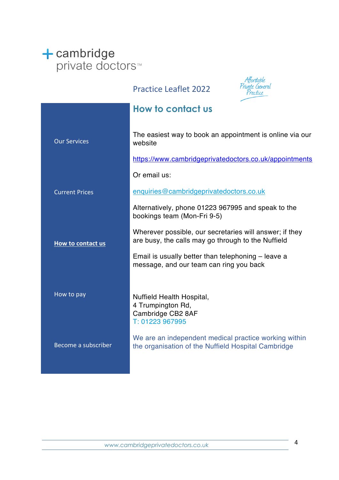# ← cambridge<br>private doctors<sup>™</sup>

### Practice Leaflet 2022



|                       | How to contact us                                                                                             |
|-----------------------|---------------------------------------------------------------------------------------------------------------|
| <b>Our Services</b>   | The easiest way to book an appointment is online via our<br>website                                           |
|                       | https://www.cambridgeprivatedoctors.co.uk/appointments                                                        |
|                       | Or email us:                                                                                                  |
| <b>Current Prices</b> | enquiries@cambridgeprivatedoctors.co.uk                                                                       |
|                       | Alternatively, phone 01223 967995 and speak to the<br>bookings team (Mon-Fri 9-5)                             |
| How to contact us     | Wherever possible, our secretaries will answer; if they<br>are busy, the calls may go through to the Nuffield |
|                       | Email is usually better than telephoning – leave a<br>message, and our team can ring you back                 |
|                       |                                                                                                               |
| How to pay            | Nuffield Health Hospital,<br>4 Trumpington Rd,<br>Cambridge CB2 8AF<br>T: 01223 967995                        |
| Become a subscriber   | We are an independent medical practice working within<br>the organisation of the Nuffield Hospital Cambridge  |
|                       |                                                                                                               |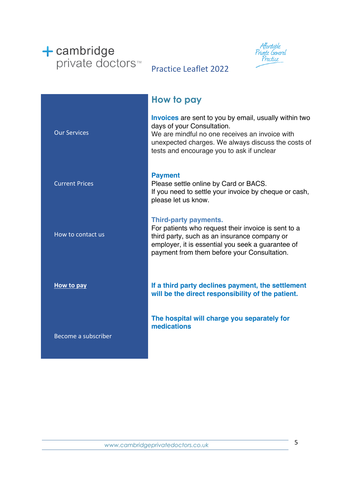



### Practice Leaflet 2022

|                       | How to pay                                                                                                                                                                                                                                      |
|-----------------------|-------------------------------------------------------------------------------------------------------------------------------------------------------------------------------------------------------------------------------------------------|
| <b>Our Services</b>   | <b>Invoices</b> are sent to you by email, usually within two<br>days of your Consultation.<br>We are mindful no one receives an invoice with<br>unexpected charges. We always discuss the costs of<br>tests and encourage you to ask if unclear |
| <b>Current Prices</b> | <b>Payment</b><br>Please settle online by Card or BACS.<br>If you need to settle your invoice by cheque or cash,<br>please let us know.                                                                                                         |
| How to contact us     | <b>Third-party payments.</b><br>For patients who request their invoice is sent to a<br>third party, such as an insurance company or<br>employer, it is essential you seek a guarantee of<br>payment from them before your Consultation.         |
| How to pay            | If a third party declines payment, the settlement<br>will be the direct responsibility of the patient.                                                                                                                                          |
| Become a subscriber   | The hospital will charge you separately for<br>medications                                                                                                                                                                                      |